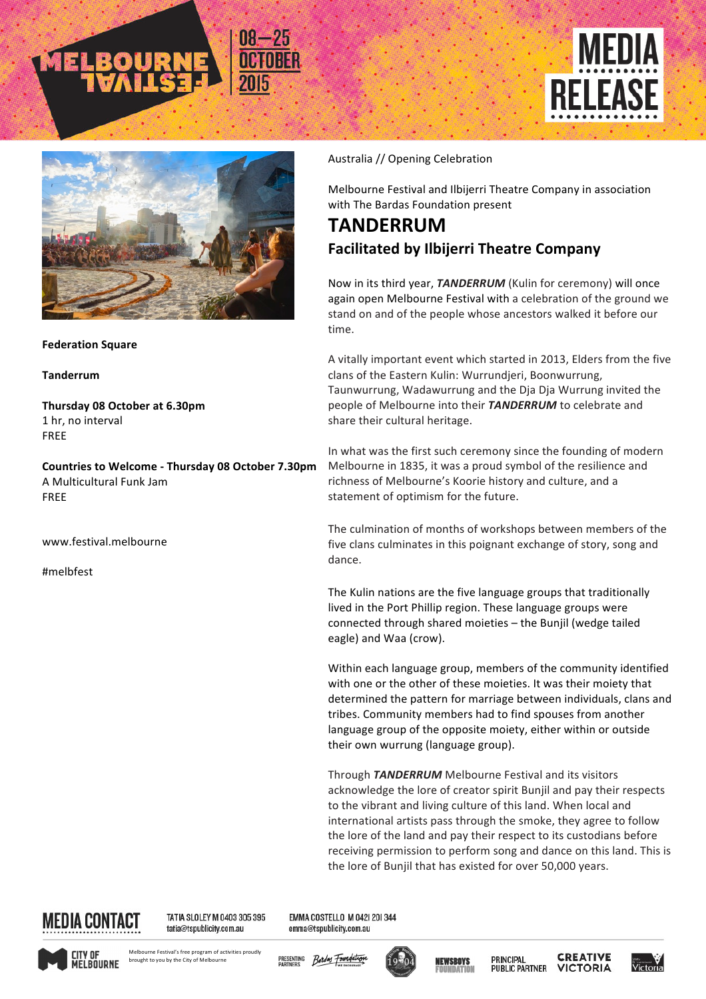



## **Federation Square**

**Tanderrum**

**Thursday 08 October at 6.30pm** 1 hr, no interval FREE

**Countries to Welcome - Thursday 08 October 7.30pm** A Multicultural Funk Jam FREE

www.festival.melbourne

#melbfest

## Australia // Opening Celebration

Melbourne Festival and Ilbijerri Theatre Company in association with The Bardas Foundation present

## **TANDERRUM Facilitated by Ilbijerri Theatre Company**

Now in its third year, **TANDERRUM** (Kulin for ceremony) will once again open Melbourne Festival with a celebration of the ground we stand on and of the people whose ancestors walked it before our time.

A vitally important event which started in 2013, Elders from the five clans of the Eastern Kulin: Wurrundjeri, Boonwurrung, Taunwurrung, Wadawurrung and the Dja Dja Wurrung invited the people of Melbourne into their **TANDERRUM** to celebrate and share their cultural heritage.

In what was the first such ceremony since the founding of modern Melbourne in 1835, it was a proud symbol of the resilience and richness of Melbourne's Koorie history and culture, and a statement of optimism for the future.

The culmination of months of workshops between members of the five clans culminates in this poignant exchange of story, song and dance. 

The Kulin nations are the five language groups that traditionally lived in the Port Phillip region. These language groups were connected through shared moieties - the Bunjil (wedge tailed eagle) and Waa (crow).

Within each language group, members of the community identified with one or the other of these moieties. It was their moiety that determined the pattern for marriage between individuals, clans and tribes. Community members had to find spouses from another language group of the opposite moiety, either within or outside their own wurrung (language group).

Through **TANDERRUM** Melbourne Festival and its visitors acknowledge the lore of creator spirit Bunjil and pay their respects to the vibrant and living culture of this land. When local and international artists pass through the smoke, they agree to follow the lore of the land and pay their respect to its custodians before receiving permission to perform song and dance on this land. This is the lore of Bunjil that has existed for over 50,000 years.



TATIA SLOLEY M 0403 305 395 tatia@tspublicity.com.au

EMMA COSTELLO M 042| 20| 344 emma@tspublicity.com.au